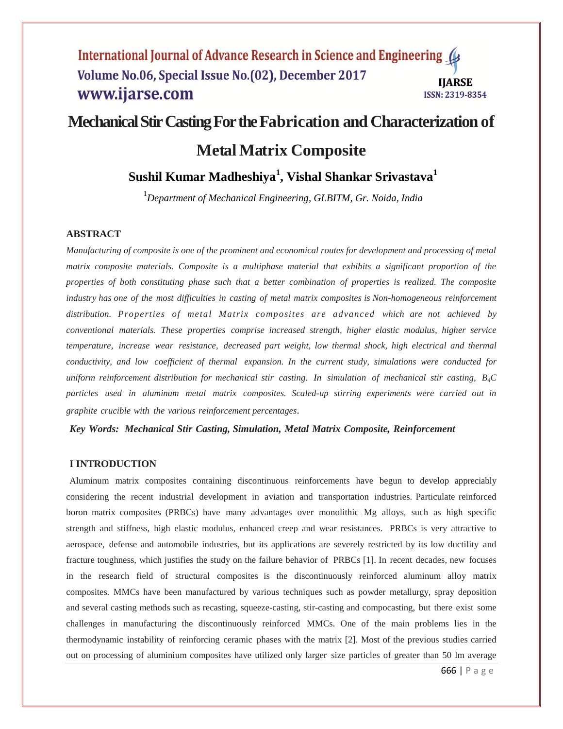## International Journal of Advance Research in Science and Engineering Volume No.06, Special Issue No.(02), December 2017 **IIARSE** www.ijarse.com ISSN: 2319-8354

# **Mechanical Stir Casting For the Fabrication and Characterization of**

# **MetalMatrix Composite**

# **Sushil Kumar Madheshiya<sup>1</sup> , Vishal Shankar Srivastava<sup>1</sup>**

<sup>1</sup>*Department of Mechanical Engineering, GLBITM, Gr. Noida, India*

### **ABSTRACT**

*Manufacturing of composite is one of the prominent and economical routes for development and processing of metal matrix composite materials. Composite is a multiphase material that exhibits a significant proportion of the properties of both constituting phase such that a better combination of properties is realized. The composite industry has one of the most difficulties in casting of metal matrix composites is Non-homogeneous reinforcement distribution. Properties of metal Matrix composites are advanced which are not achieved by conventional materials. These properties comprise increased strength, higher elastic modulus, higher service temperature, increase wear resistance, decreased part weight, low thermal shock, high electrical and thermal conductivity, and low coefficient of thermal expansion. In the current study, simulations were conducted for uniform reinforcement distribution for mechanical stir casting. In simulation of mechanical stir casting, B4C particles used in aluminum metal matrix composites. Scaled-up stirring experiments were carried out in graphite crucible with the various reinforcement percentages*.

*Key Words: Mechanical Stir Casting, Simulation, Metal Matrix Composite, Reinforcement*

#### **I INTRODUCTION**

Aluminum matrix composites containing discontinuous reinforcements have begun to develop appreciably considering the recent industrial development in aviation and transportation industries. Particulate reinforced boron matrix composites (PRBCs) have many advantages over monolithic Mg alloys, such as high specific strength and stiffness, high elastic modulus, enhanced creep and wear resistances. PRBCs is very attractive to aerospace, defense and automobile industries, but its applications are severely restricted by its low ductility and fracture toughness, which justifies the study on the failure behavior of PRBCs [1]. In recent decades, new focuses in the research field of structural composites is the discontinuously reinforced aluminum alloy matrix composites. MMCs have been manufactured by various techniques such as powder metallurgy, spray deposition and several casting methods such as recasting, squeeze-casting, stir-casting and compocasting, but there exist some challenges in manufacturing the discontinuously reinforced MMCs. One of the main problems lies in the thermodynamic instability of reinforcing ceramic phases with the matrix [2]. Most of the previous studies carried out on processing of aluminium composites have utilized only larger size particles of greater than 50 lm average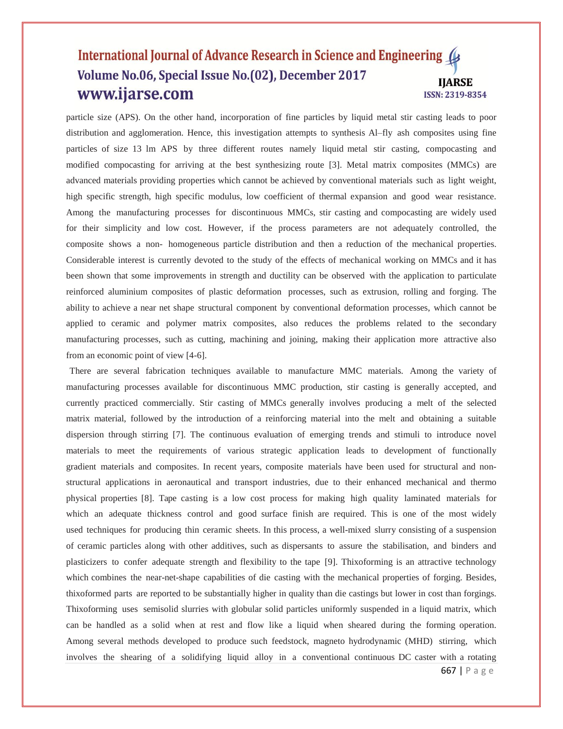## International Journal of Advance Research in Science and Engineering Volume No.06, Special Issue No.(02), December 2017 **IIARSE** www.ijarse.com ISSN: 2319-8354

particle size (APS). On the other hand, incorporation of fine particles by liquid metal stir casting leads to poor distribution and agglomeration. Hence, this investigation attempts to synthesis Al–fly ash composites using fine particles of size 13 lm APS by three different routes namely liquid metal stir casting, compocasting and modified compocasting for arriving at the best synthesizing route [3]. Metal matrix composites (MMCs) are advanced materials providing properties which cannot be achieved by conventional materials such as light weight, high specific strength, high specific modulus, low coefficient of thermal expansion and good wear resistance. Among the manufacturing processes for discontinuous MMCs, stir casting and compocasting are widely used for their simplicity and low cost. However, if the process parameters are not adequately controlled, the composite shows a non- homogeneous particle distribution and then a reduction of the mechanical properties. Considerable interest is currently devoted to the study of the effects of mechanical working on MMCs and it has been shown that some improvements in strength and ductility can be observed with the application to particulate reinforced aluminium composites of plastic deformation processes, such as extrusion, rolling and forging. The ability to achieve a near net shape structural component by conventional deformation processes, which cannot be applied to ceramic and polymer matrix composites, also reduces the problems related to the secondary manufacturing processes, such as cutting, machining and joining, making their application more attractive also from an economic point of view [4-6].

There are several fabrication techniques available to manufacture MMC materials. Among the variety of manufacturing processes available for discontinuous MMC production, stir casting is generally accepted, and currently practiced commercially. Stir casting of MMCs generally involves producing a melt of the selected matrix material, followed by the introduction of a reinforcing material into the melt and obtaining a suitable dispersion through stirring [7]. The continuous evaluation of emerging trends and stimuli to introduce novel materials to meet the requirements of various strategic application leads to development of functionally gradient materials and composites. In recent years, composite materials have been used for structural and nonstructural applications in aeronautical and transport industries, due to their enhanced mechanical and thermo physical properties [8]. Tape casting is a low cost process for making high quality laminated materials for which an adequate thickness control and good surface finish are required. This is one of the most widely used techniques for producing thin ceramic sheets. In this process, a well-mixed slurry consisting of a suspension of ceramic particles along with other additives, such as dispersants to assure the stabilisation, and binders and plasticizers to confer adequate strength and flexibility to the tape [9]. Thixoforming is an attractive technology which combines the near-net-shape capabilities of die casting with the mechanical properties of forging. Besides, thixoformed parts are reported to be substantially higher in quality than die castings but lower in cost than forgings. Thixoforming uses semisolid slurries with globular solid particles uniformly suspended in a liquid matrix, which can be handled as a solid when at rest and flow like a liquid when sheared during the forming operation. Among several methods developed to produce such feedstock, magneto hydrodynamic (MHD) stirring, which involves the shearing of a solidifying liquid alloy in a conventional continuous DC caster with a rotating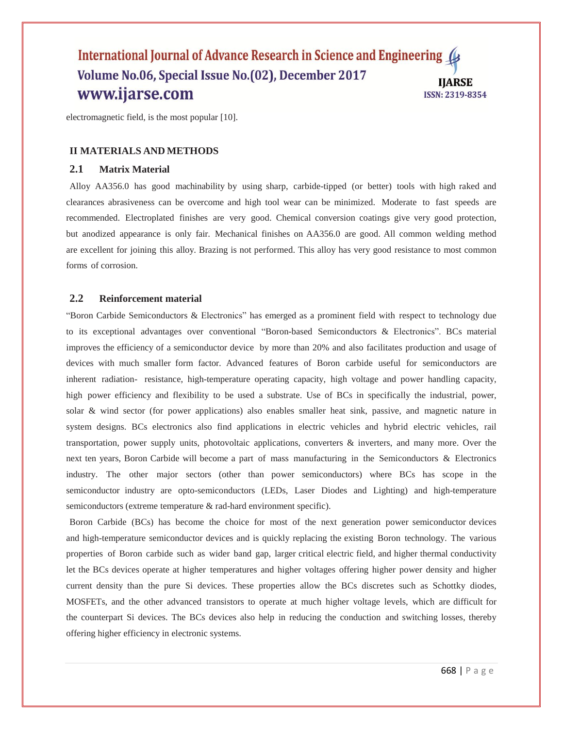## International Journal of Advance Research in Science and Engineering Volume No.06, Special Issue No.(02), December 2017 **IIARSE** www.ijarse.com ISSN: 2319-8354

electromagnetic field, is the most popular [10].

## **II MATERIALS AND METHODS**

# **2.1 Matrix Material**

Alloy AA356.0 has good machinability by using sharp, carbide-tipped (or better) tools with high raked and clearances abrasiveness can be overcome and high tool wear can be minimized. Moderate to fast speeds are recommended. Electroplated finishes are very good. Chemical conversion coatings give very good protection, but anodized appearance is only fair. Mechanical finishes on AA356.0 are good. All common welding method are excellent for joining this alloy. Brazing is not performed. This alloy has very good resistance to most common forms of corrosion.

## **2.2 Reinforcement material**

"Boron Carbide Semiconductors & Electronics" has emerged as a prominent field with respect to technology due to its exceptional advantages over conventional "Boron-based Semiconductors & Electronics". BCs material improves the efficiency of a semiconductor device by more than 20% and also facilitates production and usage of devices with much smaller form factor. Advanced features of Boron carbide useful for semiconductors are inherent radiation- resistance, high-temperature operating capacity, high voltage and power handling capacity, high power efficiency and flexibility to be used a substrate. Use of BCs in specifically the industrial, power, solar & wind sector (for power applications) also enables smaller heat sink, passive, and magnetic nature in system designs. BCs electronics also find applications in electric vehicles and hybrid electric vehicles, rail transportation, power supply units, photovoltaic applications, converters & inverters, and many more. Over the next ten years, Boron Carbide will become a part of mass manufacturing in the Semiconductors & Electronics industry. The other major sectors (other than power semiconductors) where BCs has scope in the semiconductor industry are opto-semiconductors (LEDs, Laser Diodes and Lighting) and high-temperature semiconductors (extreme temperature & rad-hard environment specific).

Boron Carbide (BCs) has become the choice for most of the next generation power semiconductor devices and high-temperature semiconductor devices and is quickly replacing the existing Boron technology. The various properties of Boron carbide such as wider band gap, larger critical electric field, and higher thermal conductivity let the BCs devices operate at higher temperatures and higher voltages offering higher power density and higher current density than the pure Si devices. These properties allow the BCs discretes such as Schottky diodes, MOSFETs, and the other advanced transistors to operate at much higher voltage levels, which are difficult for the counterpart Si devices. The BCs devices also help in reducing the conduction and switching losses, thereby offering higher efficiency in electronic systems.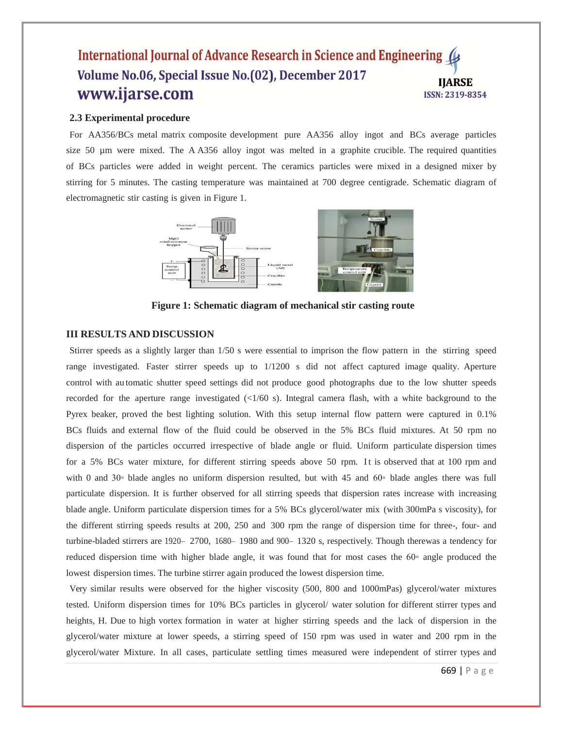## International Journal of Advance Research in Science and Engineering ( Volume No.06, Special Issue No.(02), December 2017 **IIARSE** www.ijarse.com ISSN: 2319-8354

#### **2.3 Experimental procedure**

For AA356/BCs metal matrix composite development pure AA356 alloy ingot and BCs average particles size 50 µm were mixed. The A A356 alloy ingot was melted in a graphite crucible. The required quantities of BCs particles were added in weight percent. The ceramics particles were mixed in a designed mixer by stirring for 5 minutes. The casting temperature was maintained at 700 degree centigrade. Schematic diagram of electromagnetic stir casting is given in Figure 1.



**Figure 1: Schematic diagram of mechanical stir casting route**

## **III RESULTS AND DISCUSSION**

Stirrer speeds as a slightly larger than 1/50 s were essential to imprison the flow pattern in the stirring speed range investigated. Faster stirrer speeds up to 1/1200 s did not affect captured image quality. Aperture control with au tomatic shutter speed settings did not produce good photographs due to the low shutter speeds recorded for the aperture range investigated (<1/60 s). Integral camera flash, with a white background to the Pyrex beaker, proved the best lighting solution. With this setup internal flow pattern were captured in 0.1% BCs fluids and external flow of the fluid could be observed in the 5% BCs fluid mixtures. At 50 rpm no dispersion of the particles occurred irrespective of blade angle or fluid. Uniform particulate dispersion times for a 5% BCs water mixture, for different stirring speeds above 50 rpm. It is observed that at 100 rpm and with 0 and 30◦ blade angles no uniform dispersion resulted, but with 45 and 60◦ blade angles there was full particulate dispersion. It is further observed for all stirring speeds that dispersion rates increase with increasing blade angle. Uniform particulate dispersion times for a 5% BCs glycerol/water mix (with 300mPa s viscosity), for the different stirring speeds results at 200, 250 and 300 rpm the range of dispersion time for three-, four- and turbine-bladed stirrers are 1920– 2700, 1680– 1980 and 900– 1320 s, respectively. Though therewas a tendency for reduced dispersion time with higher blade angle, it was found that for most cases the 60◦ angle produced the lowest dispersion times. The turbine stirrer again produced the lowest dispersion time.

Very similar results were observed for the higher viscosity (500, 800 and 1000mPas) glycerol/water mixtures tested. Uniform dispersion times for 10% BCs particles in glycerol/ water solution for different stirrer types and heights, H. Due to high vortex formation in water at higher stirring speeds and the lack of dispersion in the glycerol/water mixture at lower speeds, a stirring speed of 150 rpm was used in water and 200 rpm in the glycerol/water Mixture. In all cases, particulate settling times measured were independent of stirrer types and